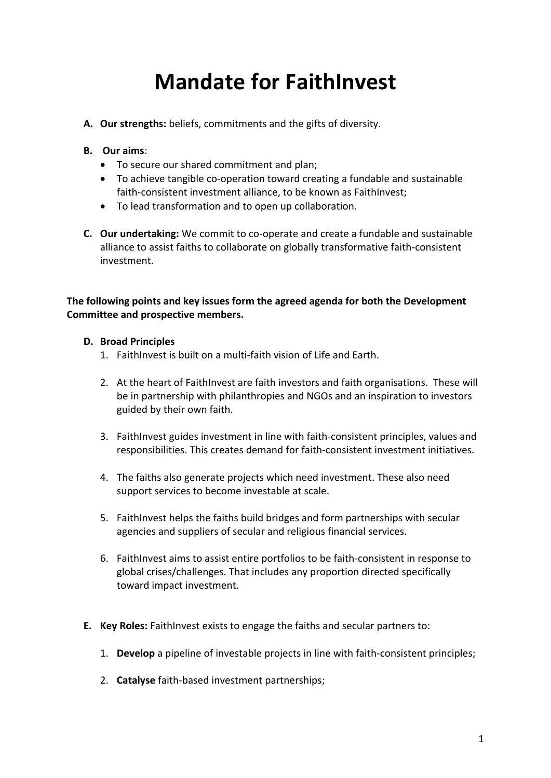## **Mandate for FaithInvest**

- **A.** Our strengths: beliefs, commitments and the gifts of diversity.
- **B. Our aims**:
	- To secure our shared commitment and plan;
	- To achieve tangible co-operation toward creating a fundable and sustainable faith-consistent investment alliance, to be known as FaithInvest;
	- To lead transformation and to open up collaboration.
- **C.** Our undertaking: We commit to co-operate and create a fundable and sustainable alliance to assist faiths to collaborate on globally transformative faith-consistent investment.

The following points and key issues form the agreed agenda for both the Development **Committee and prospective members.** 

## **D. Broad Principles**

- 1. FaithInvest is built on a multi-faith vision of Life and Earth.
- 2. At the heart of FaithInvest are faith investors and faith organisations. These will be in partnership with philanthropies and NGOs and an inspiration to investors guided by their own faith.
- 3. FaithInvest guides investment in line with faith-consistent principles, values and responsibilities. This creates demand for faith-consistent investment initiatives.
- 4. The faiths also generate projects which need investment. These also need support services to become investable at scale.
- 5. FaithInvest helps the faiths build bridges and form partnerships with secular agencies and suppliers of secular and religious financial services.
- 6. FaithInvest aims to assist entire portfolios to be faith-consistent in response to global crises/challenges. That includes any proportion directed specifically toward impact investment.
- **E.** Key Roles: FaithInvest exists to engage the faiths and secular partners to:
	- 1. **Develop** a pipeline of investable projects in line with faith-consistent principles;
	- 2. **Catalyse** faith-based investment partnerships;